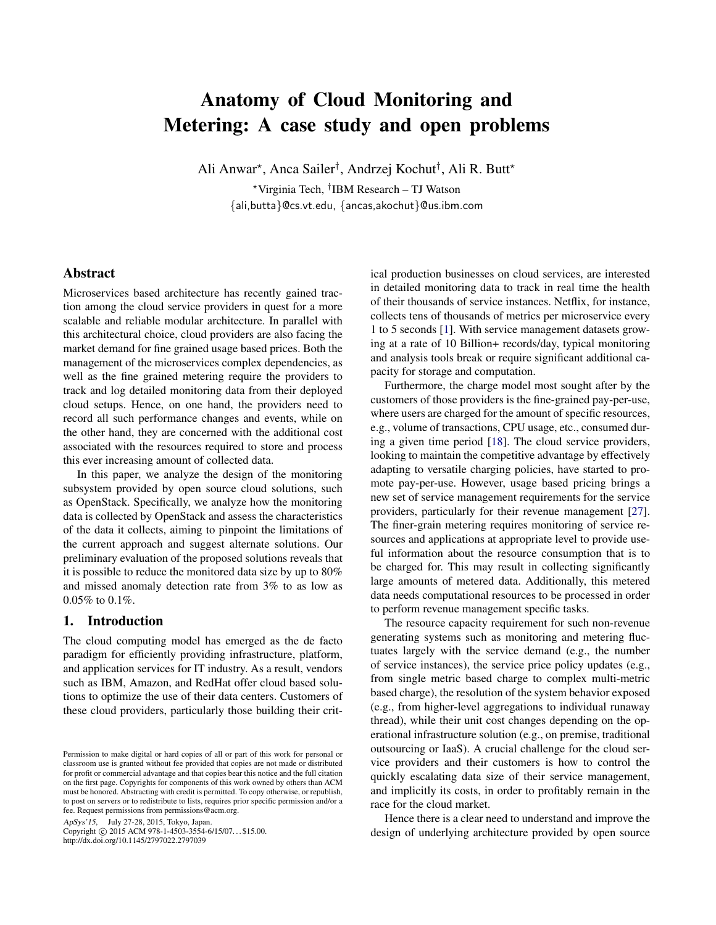# Anatomy of Cloud Monitoring and Metering: A case study and open problems

Ali Anwar\*, Anca Sailer<sup>†</sup>, Andrzej Kochut<sup>†</sup>, Ali R. Butt\*

<sup>⋆</sup>Virginia Tech, † IBM Research – TJ Watson {ali,butta}@cs.vt.edu, {ancas,akochut}@us.ibm.com

# Abstract

Microservices based architecture has recently gained traction among the cloud service providers in quest for a more scalable and reliable modular architecture. In parallel with this architectural choice, cloud providers are also facing the market demand for fine grained usage based prices. Both the management of the microservices complex dependencies, as well as the fine grained metering require the providers to track and log detailed monitoring data from their deployed cloud setups. Hence, on one hand, the providers need to record all such performance changes and events, while on the other hand, they are concerned with the additional cost associated with the resources required to store and process this ever increasing amount of collected data.

In this paper, we analyze the design of the monitoring subsystem provided by open source cloud solutions, such as OpenStack. Specifically, we analyze how the monitoring data is collected by OpenStack and assess the characteristics of the data it collects, aiming to pinpoint the limitations of the current approach and suggest alternate solutions. Our preliminary evaluation of the proposed solutions reveals that it is possible to reduce the monitored data size by up to 80% and missed anomaly detection rate from 3% to as low as 0.05% to 0.1%.

## 1. Introduction

The cloud computing model has emerged as the de facto paradigm for efficiently providing infrastructure, platform, and application services for IT industry. As a result, vendors such as IBM, Amazon, and RedHat offer cloud based solutions to optimize the use of their data centers. Customers of these cloud providers, particularly those building their crit-

ApSys'15, July 27-28, 2015, Tokyo, Japan.

Copyright © 2015 ACM 978-1-4503-3554-6/15/07... \$15.00. http://dx.doi.org/10.1145/2797022.2797039

ical production businesses on cloud services, are interested in detailed monitoring data to track in real time the health of their thousands of service instances. Netflix, for instance, collects tens of thousands of metrics per microservice every 1 to 5 seconds [\[1](#page-6-0)]. With service management datasets growing at a rate of 10 Billion+ records/day, typical monitoring and analysis tools break or require significant additional capacity for storage and computation.

Furthermore, the charge model most sought after by the customers of those providers is the fine-grained pay-per-use, where users are charged for the amount of specific resources, e.g., volume of transactions, CPU usage, etc., consumed during a given time period [\[18](#page-6-1)]. The cloud service providers, looking to maintain the competitive advantage by effectively adapting to versatile charging policies, have started to promote pay-per-use. However, usage based pricing brings a new set of service management requirements for the service providers, particularly for their revenue management [\[27](#page-6-2)]. The finer-grain metering requires monitoring of service resources and applications at appropriate level to provide useful information about the resource consumption that is to be charged for. This may result in collecting significantly large amounts of metered data. Additionally, this metered data needs computational resources to be processed in order to perform revenue management specific tasks.

The resource capacity requirement for such non-revenue generating systems such as monitoring and metering fluctuates largely with the service demand (e.g., the number of service instances), the service price policy updates (e.g., from single metric based charge to complex multi-metric based charge), the resolution of the system behavior exposed (e.g., from higher-level aggregations to individual runaway thread), while their unit cost changes depending on the operational infrastructure solution (e.g., on premise, traditional outsourcing or IaaS). A crucial challenge for the cloud service providers and their customers is how to control the quickly escalating data size of their service management, and implicitly its costs, in order to profitably remain in the race for the cloud market.

Hence there is a clear need to understand and improve the design of underlying architecture provided by open source

Permission to make digital or hard copies of all or part of this work for personal or classroom use is granted without fee provided that copies are not made or distributed for profit or commercial advantage and that copies bear this notice and the full citation on the first page. Copyrights for components of this work owned by others than ACM must be honored. Abstracting with credit is permitted. To copy otherwise, or republish, to post on servers or to redistribute to lists, requires prior specific permission and/or a fee. Request permissions from permissions@acm.org.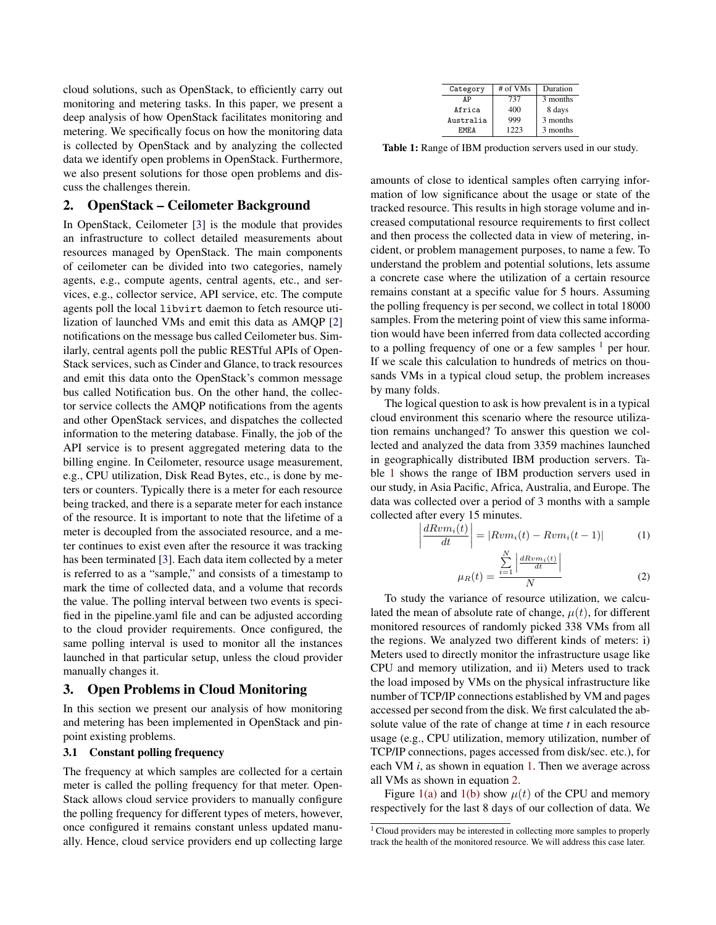cloud solutions, such as OpenStack, to efficiently carry out monitoring and metering tasks. In this paper, we present a deep analysis of how OpenStack facilitates monitoring and metering. We specifically focus on how the monitoring data is collected by OpenStack and by analyzing the collected data we identify open problems in OpenStack. Furthermore, we also present solutions for those open problems and discuss the challenges therein.

# 2. OpenStack – Ceilometer Background

In OpenStack, Ceilometer [\[3\]](#page-6-3) is the module that provides an infrastructure to collect detailed measurements about resources managed by OpenStack. The main components of ceilometer can be divided into two categories, namely agents, e.g., compute agents, central agents, etc., and services, e.g., collector service, API service, etc. The compute agents poll the local libvirt daemon to fetch resource utilization of launched VMs and emit this data as AMQP [\[2\]](#page-6-4) notifications on the message bus called Ceilometer bus. Similarly, central agents poll the public RESTful APIs of Open-Stack services, such as Cinder and Glance, to track resources and emit this data onto the OpenStack's common message bus called Notification bus. On the other hand, the collector service collects the AMQP notifications from the agents and other OpenStack services, and dispatches the collected information to the metering database. Finally, the job of the API service is to present aggregated metering data to the billing engine. In Ceilometer, resource usage measurement, e.g., CPU utilization, Disk Read Bytes, etc., is done by meters or counters. Typically there is a meter for each resource being tracked, and there is a separate meter for each instance of the resource. It is important to note that the lifetime of a meter is decoupled from the associated resource, and a meter continues to exist even after the resource it was tracking has been terminated [\[3\]](#page-6-3). Each data item collected by a meter is referred to as a "sample," and consists of a timestamp to mark the time of collected data, and a volume that records the value. The polling interval between two events is specified in the pipeline.yaml file and can be adjusted according to the cloud provider requirements. Once configured, the same polling interval is used to monitor all the instances launched in that particular setup, unless the cloud provider manually changes it.

# 3. Open Problems in Cloud Monitoring

In this section we present our analysis of how monitoring and metering has been implemented in OpenStack and pinpoint existing problems.

### <span id="page-1-3"></span>3.1 Constant polling frequency

The frequency at which samples are collected for a certain meter is called the polling frequency for that meter. Open-Stack allows cloud service providers to manually configure the polling frequency for different types of meters, however, once configured it remains constant unless updated manually. Hence, cloud service providers end up collecting large

<span id="page-1-0"></span>

| # of VMs | Duration |
|----------|----------|
| 737      | 3 months |
| 400      | 8 days   |
| 999      | 3 months |
| 1223     | 3 months |
|          |          |

Table 1: Range of IBM production servers used in our study.

amounts of close to identical samples often carrying information of low significance about the usage or state of the tracked resource. This results in high storage volume and increased computational resource requirements to first collect and then process the collected data in view of metering, incident, or problem management purposes, to name a few. To understand the problem and potential solutions, lets assume a concrete case where the utilization of a certain resource remains constant at a specific value for 5 hours. Assuming the polling frequency is per second, we collect in total 18000 samples. From the metering point of view this same information would have been inferred from data collected according to a polling frequency of one or a few samples  $<sup>1</sup>$  per hour.</sup> If we scale this calculation to hundreds of metrics on thousands VMs in a typical cloud setup, the problem increases by many folds.

The logical question to ask is how prevalent is in a typical cloud environment this scenario where the resource utilization remains unchanged? To answer this question we collected and analyzed the data from 3359 machines launched in geographically distributed IBM production servers. Table [1](#page-1-0) shows the range of IBM production servers used in our study, in Asia Pacific, Africa, Australia, and Europe. The data was collected over a period of 3 months with a sample collected after every 15 minutes.

<span id="page-1-1"></span>
$$
\left| \frac{dRvm_i(t)}{dt} \right| = |Rvm_i(t) - Rvm_i(t-1)| \tag{1}
$$

<span id="page-1-2"></span>
$$
\mu_R(t) = \frac{\sum_{i=1}^N \left| \frac{dRvm_i(t)}{dt} \right|}{N} \tag{2}
$$

To study the variance of resource utilization, we calculated the mean of absolute rate of change,  $\mu(t)$ , for different monitored resources of randomly picked 338 VMs from all the regions. We analyzed two different kinds of meters: i) Meters used to directly monitor the infrastructure usage like CPU and memory utilization, and ii) Meters used to track the load imposed by VMs on the physical infrastructure like number of TCP/IP connections established by VM and pages accessed per second from the disk. We first calculated the absolute value of the rate of change at time *t* in each resource usage (e.g., CPU utilization, memory utilization, number of TCP/IP connections, pages accessed from disk/sec. etc.), for each VM *i*, as shown in equation [1.](#page-1-1) Then we average across all VMs as shown in equation [2.](#page-1-2)

Figure [1\(a\)](#page-2-0) and [1\(b\)](#page-2-1) show  $\mu(t)$  of the CPU and memory respectively for the last 8 days of our collection of data. We

<sup>&</sup>lt;sup>1</sup> Cloud providers may be interested in collecting more samples to properly track the health of the monitored resource. We will address this case later.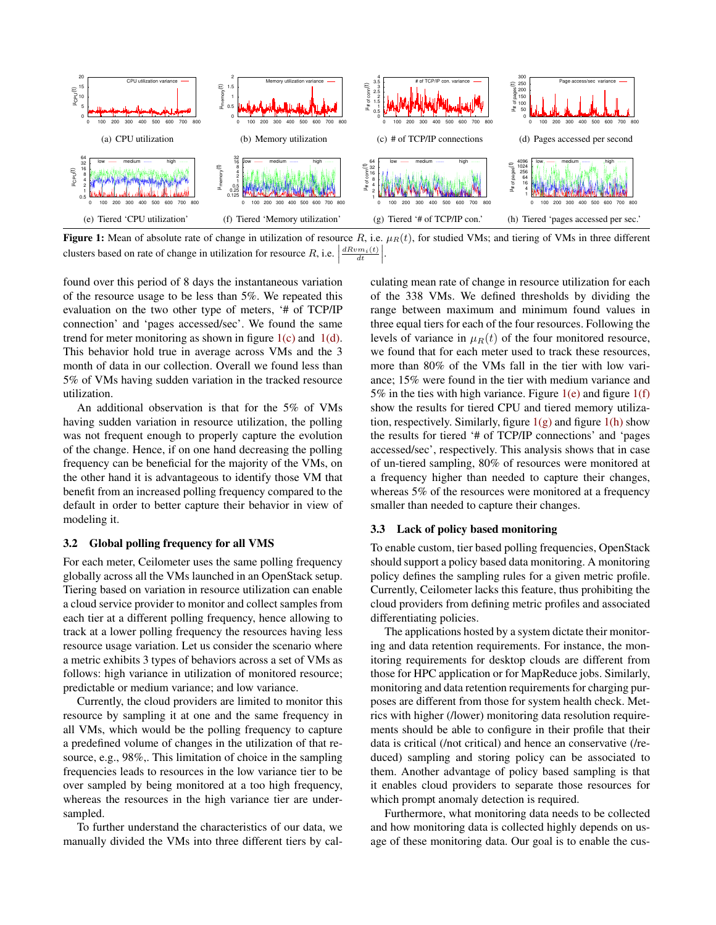<span id="page-2-1"></span><span id="page-2-0"></span>

<span id="page-2-5"></span><span id="page-2-4"></span>Figure 1: Mean of absolute rate of change in utilization of resource R, i.e.  $\mu_R(t)$ , for studied VMs; and tiering of VMs in three different clusters based on rate of change in utilization for resource  $R$ , i.e.  $\left| \frac{dRvm_i(t)}{dt} \right|$ ļ .

found over this period of 8 days the instantaneous variation of the resource usage to be less than 5%. We repeated this evaluation on the two other type of meters, '# of TCP/IP connection' and 'pages accessed/sec'. We found the same trend for meter monitoring as shown in figure  $1(c)$  and  $1(d)$ . This behavior hold true in average across VMs and the 3 month of data in our collection. Overall we found less than 5% of VMs having sudden variation in the tracked resource utilization.

An additional observation is that for the 5% of VMs having sudden variation in resource utilization, the polling was not frequent enough to properly capture the evolution of the change. Hence, if on one hand decreasing the polling frequency can be beneficial for the majority of the VMs, on the other hand it is advantageous to identify those VM that benefit from an increased polling frequency compared to the default in order to better capture their behavior in view of modeling it.

#### 3.2 Global polling frequency for all VMS

For each meter, Ceilometer uses the same polling frequency globally across all the VMs launched in an OpenStack setup. Tiering based on variation in resource utilization can enable a cloud service provider to monitor and collect samples from each tier at a different polling frequency, hence allowing to track at a lower polling frequency the resources having less resource usage variation. Let us consider the scenario where a metric exhibits 3 types of behaviors across a set of VMs as follows: high variance in utilization of monitored resource; predictable or medium variance; and low variance.

Currently, the cloud providers are limited to monitor this resource by sampling it at one and the same frequency in all VMs, which would be the polling frequency to capture a predefined volume of changes in the utilization of that resource, e.g., 98%,. This limitation of choice in the sampling frequencies leads to resources in the low variance tier to be over sampled by being monitored at a too high frequency, whereas the resources in the high variance tier are undersampled.

To further understand the characteristics of our data, we manually divided the VMs into three different tiers by cal<span id="page-2-7"></span><span id="page-2-6"></span><span id="page-2-3"></span><span id="page-2-2"></span>culating mean rate of change in resource utilization for each of the 338 VMs. We defined thresholds by dividing the range between maximum and minimum found values in three equal tiers for each of the four resources. Following the levels of variance in  $\mu_R(t)$  of the four monitored resource, we found that for each meter used to track these resources, more than 80% of the VMs fall in the tier with low variance; 15% were found in the tier with medium variance and 5% in the ties with high variance. Figure [1\(e\)](#page-2-4) and figure  $1(f)$ show the results for tiered CPU and tiered memory utilization, respectively. Similarly, figure  $1(g)$  and figure  $1(h)$  show the results for tiered '# of TCP/IP connections' and 'pages accessed/sec', respectively. This analysis shows that in case of un-tiered sampling, 80% of resources were monitored at a frequency higher than needed to capture their changes, whereas 5% of the resources were monitored at a frequency smaller than needed to capture their changes.

#### 3.3 Lack of policy based monitoring

To enable custom, tier based polling frequencies, OpenStack should support a policy based data monitoring. A monitoring policy defines the sampling rules for a given metric profile. Currently, Ceilometer lacks this feature, thus prohibiting the cloud providers from defining metric profiles and associated differentiating policies.

The applications hosted by a system dictate their monitoring and data retention requirements. For instance, the monitoring requirements for desktop clouds are different from those for HPC application or for MapReduce jobs. Similarly, monitoring and data retention requirements for charging purposes are different from those for system health check. Metrics with higher (/lower) monitoring data resolution requirements should be able to configure in their profile that their data is critical (/not critical) and hence an conservative (/reduced) sampling and storing policy can be associated to them. Another advantage of policy based sampling is that it enables cloud providers to separate those resources for which prompt anomaly detection is required.

Furthermore, what monitoring data needs to be collected and how monitoring data is collected highly depends on usage of these monitoring data. Our goal is to enable the cus-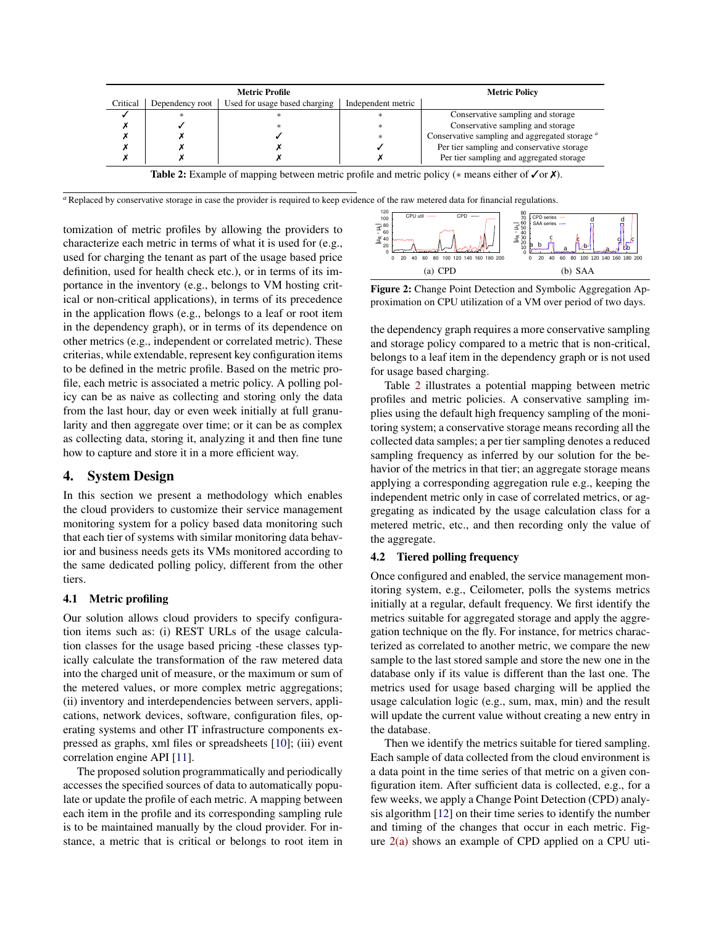<span id="page-3-0"></span>

| <b>Metric Profile</b> |                 |                               | <b>Metric Policy</b> |                                                                  |
|-----------------------|-----------------|-------------------------------|----------------------|------------------------------------------------------------------|
| Critical              | Dependency root | Used for usage based charging | Independent metric   |                                                                  |
|                       |                 |                               |                      | Conservative sampling and storage                                |
|                       |                 |                               |                      | Conservative sampling and storage                                |
|                       |                 |                               |                      | Conservative sampling and aggregated storage <sup><i>a</i></sup> |
|                       |                 |                               |                      | Per tier sampling and conservative storage                       |
|                       |                 |                               |                      | Per tier sampling and aggregated storage                         |
|                       | <b>THIAT</b>    |                               | $\sim$ 1             | $\cdots$<br>$\cdot$ . $\cdot$<br>$\sim$                          |

Table 2: Example of mapping between metric profile and metric policy ( $*$  means either of  $\checkmark$  or  $\checkmark$ ).

*<sup>a</sup>* Replaced by conservative storage in case the provider is required to keep evidence of the raw metered data for financial regulations.

tomization of metric profiles by allowing the providers to characterize each metric in terms of what it is used for (e.g., used for charging the tenant as part of the usage based price definition, used for health check etc.), or in terms of its importance in the inventory (e.g., belongs to VM hosting critical or non-critical applications), in terms of its precedence in the application flows (e.g., belongs to a leaf or root item in the dependency graph), or in terms of its dependence on other metrics (e.g., independent or correlated metric). These criterias, while extendable, represent key configuration items to be defined in the metric profile. Based on the metric profile, each metric is associated a metric policy. A polling policy can be as naive as collecting and storing only the data from the last hour, day or even week initially at full granularity and then aggregate over time; or it can be as complex as collecting data, storing it, analyzing it and then fine tune how to capture and store it in a more efficient way.

# 4. System Design

In this section we present a methodology which enables the cloud providers to customize their service management monitoring system for a policy based data monitoring such that each tier of systems with similar monitoring data behavior and business needs gets its VMs monitored according to the same dedicated polling policy, different from the other tiers.

#### <span id="page-3-3"></span>4.1 Metric profiling

Our solution allows cloud providers to specify configuration items such as: (i) REST URLs of the usage calculation classes for the usage based pricing -these classes typically calculate the transformation of the raw metered data into the charged unit of measure, or the maximum or sum of the metered values, or more complex metric aggregations; (ii) inventory and interdependencies between servers, applications, network devices, software, configuration files, operating systems and other IT infrastructure components expressed as graphs, xml files or spreadsheets [\[10](#page-6-5)]; (iii) event correlation engine API [\[11\]](#page-6-6).

The proposed solution programmatically and periodically accesses the specified sources of data to automatically populate or update the profile of each metric. A mapping between each item in the profile and its corresponding sampling rule is to be maintained manually by the cloud provider. For instance, a metric that is critical or belongs to root item in

<span id="page-3-1"></span>

<span id="page-3-2"></span>Figure 2: Change Point Detection and Symbolic Aggregation Approximation on CPU utilization of a VM over period of two days.

the dependency graph requires a more conservative sampling and storage policy compared to a metric that is non-critical, belongs to a leaf item in the dependency graph or is not used for usage based charging.

Table [2](#page-3-0) illustrates a potential mapping between metric profiles and metric policies. A conservative sampling implies using the default high frequency sampling of the monitoring system; a conservative storage means recording all the collected data samples; a per tier sampling denotes a reduced sampling frequency as inferred by our solution for the behavior of the metrics in that tier; an aggregate storage means applying a corresponding aggregation rule e.g., keeping the independent metric only in case of correlated metrics, or aggregating as indicated by the usage calculation class for a metered metric, etc., and then recording only the value of the aggregate.

#### 4.2 Tiered polling frequency

Once configured and enabled, the service management monitoring system, e.g., Ceilometer, polls the systems metrics initially at a regular, default frequency. We first identify the metrics suitable for aggregated storage and apply the aggregation technique on the fly. For instance, for metrics characterized as correlated to another metric, we compare the new sample to the last stored sample and store the new one in the database only if its value is different than the last one. The metrics used for usage based charging will be applied the usage calculation logic (e.g., sum, max, min) and the result will update the current value without creating a new entry in the database.

Then we identify the metrics suitable for tiered sampling. Each sample of data collected from the cloud environment is a data point in the time series of that metric on a given configuration item. After sufficient data is collected, e.g., for a few weeks, we apply a Change Point Detection (CPD) analysis algorithm [\[12](#page-6-7)] on their time series to identify the number and timing of the changes that occur in each metric. Figure  $2(a)$  shows an example of CPD applied on a CPU uti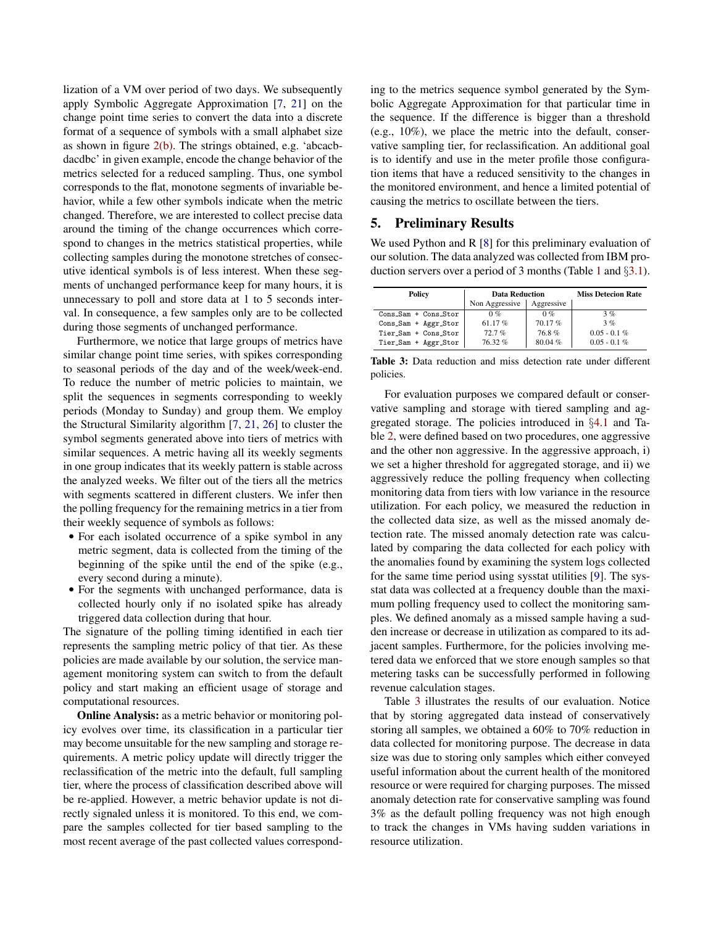lization of a VM over period of two days. We subsequently apply Symbolic Aggregate Approximation [\[7](#page-6-8), [21\]](#page-6-9) on the change point time series to convert the data into a discrete format of a sequence of symbols with a small alphabet size as shown in figure [2\(b\).](#page-3-2) The strings obtained, e.g. 'abcacbdacdbc' in given example, encode the change behavior of the metrics selected for a reduced sampling. Thus, one symbol corresponds to the flat, monotone segments of invariable behavior, while a few other symbols indicate when the metric changed. Therefore, we are interested to collect precise data around the timing of the change occurrences which correspond to changes in the metrics statistical properties, while collecting samples during the monotone stretches of consecutive identical symbols is of less interest. When these segments of unchanged performance keep for many hours, it is unnecessary to poll and store data at 1 to 5 seconds interval. In consequence, a few samples only are to be collected during those segments of unchanged performance.

Furthermore, we notice that large groups of metrics have similar change point time series, with spikes corresponding to seasonal periods of the day and of the week/week-end. To reduce the number of metric policies to maintain, we split the sequences in segments corresponding to weekly periods (Monday to Sunday) and group them. We employ the Structural Similarity algorithm [\[7,](#page-6-8) [21](#page-6-9), [26\]](#page-6-10) to cluster the symbol segments generated above into tiers of metrics with similar sequences. A metric having all its weekly segments in one group indicates that its weekly pattern is stable across the analyzed weeks. We filter out of the tiers all the metrics with segments scattered in different clusters. We infer then the polling frequency for the remaining metrics in a tier from their weekly sequence of symbols as follows:

- For each isolated occurrence of a spike symbol in any metric segment, data is collected from the timing of the beginning of the spike until the end of the spike (e.g., every second during a minute).
- For the segments with unchanged performance, data is collected hourly only if no isolated spike has already triggered data collection during that hour.

The signature of the polling timing identified in each tier represents the sampling metric policy of that tier. As these policies are made available by our solution, the service management monitoring system can switch to from the default policy and start making an efficient usage of storage and computational resources.

Online Analysis: as a metric behavior or monitoring policy evolves over time, its classification in a particular tier may become unsuitable for the new sampling and storage requirements. A metric policy update will directly trigger the reclassification of the metric into the default, full sampling tier, where the process of classification described above will be re-applied. However, a metric behavior update is not directly signaled unless it is monitored. To this end, we compare the samples collected for tier based sampling to the most recent average of the past collected values corresponding to the metrics sequence symbol generated by the Symbolic Aggregate Approximation for that particular time in the sequence. If the difference is bigger than a threshold (e.g., 10%), we place the metric into the default, conservative sampling tier, for reclassification. An additional goal is to identify and use in the meter profile those configuration items that have a reduced sensitivity to the changes in the monitored environment, and hence a limited potential of causing the metrics to oscillate between the tiers.

# 5. Preliminary Results

We used Python and R [\[8](#page-6-11)] for this preliminary evaluation of our solution. The data analyzed was collected from IBM production servers over a period of 3 months (Table [1](#page-1-0) and §[3.1\)](#page-1-3).

<span id="page-4-0"></span>

| Policy                   | <b>Data Reduction</b> |            | <b>Miss Detecion Rate</b> |  |  |  |  |
|--------------------------|-----------------------|------------|---------------------------|--|--|--|--|
|                          | Non Aggressive        | Aggressive |                           |  |  |  |  |
| Cons_Sam + Cons_Stor     | $0\%$                 | $0\%$      | 3%                        |  |  |  |  |
| $Cons\_Sam + Aggr\_Stor$ | 61.17%                | 70.17%     | 3%                        |  |  |  |  |
| Tier_Sam + Cons_Stor     | 72.7%                 | 76.8%      | $0.05 - 0.1\%$            |  |  |  |  |
| Tier_Sam + Aggr_Stor     | 76.32%                | 80.04%     | $0.05 - 0.1%$             |  |  |  |  |

Table 3: Data reduction and miss detection rate under different policies.

For evaluation purposes we compared default or conservative sampling and storage with tiered sampling and aggregated storage. The policies introduced in §[4.1](#page-3-3) and Table [2,](#page-3-0) were defined based on two procedures, one aggressive and the other non aggressive. In the aggressive approach, i) we set a higher threshold for aggregated storage, and ii) we aggressively reduce the polling frequency when collecting monitoring data from tiers with low variance in the resource utilization. For each policy, we measured the reduction in the collected data size, as well as the missed anomaly detection rate. The missed anomaly detection rate was calculated by comparing the data collected for each policy with the anomalies found by examining the system logs collected for the same time period using sysstat utilities [\[9](#page-6-12)]. The sysstat data was collected at a frequency double than the maximum polling frequency used to collect the monitoring samples. We defined anomaly as a missed sample having a sudden increase or decrease in utilization as compared to its adjacent samples. Furthermore, for the policies involving metered data we enforced that we store enough samples so that metering tasks can be successfully performed in following revenue calculation stages.

Table [3](#page-4-0) illustrates the results of our evaluation. Notice that by storing aggregated data instead of conservatively storing all samples, we obtained a 60% to 70% reduction in data collected for monitoring purpose. The decrease in data size was due to storing only samples which either conveyed useful information about the current health of the monitored resource or were required for charging purposes. The missed anomaly detection rate for conservative sampling was found 3% as the default polling frequency was not high enough to track the changes in VMs having sudden variations in resource utilization.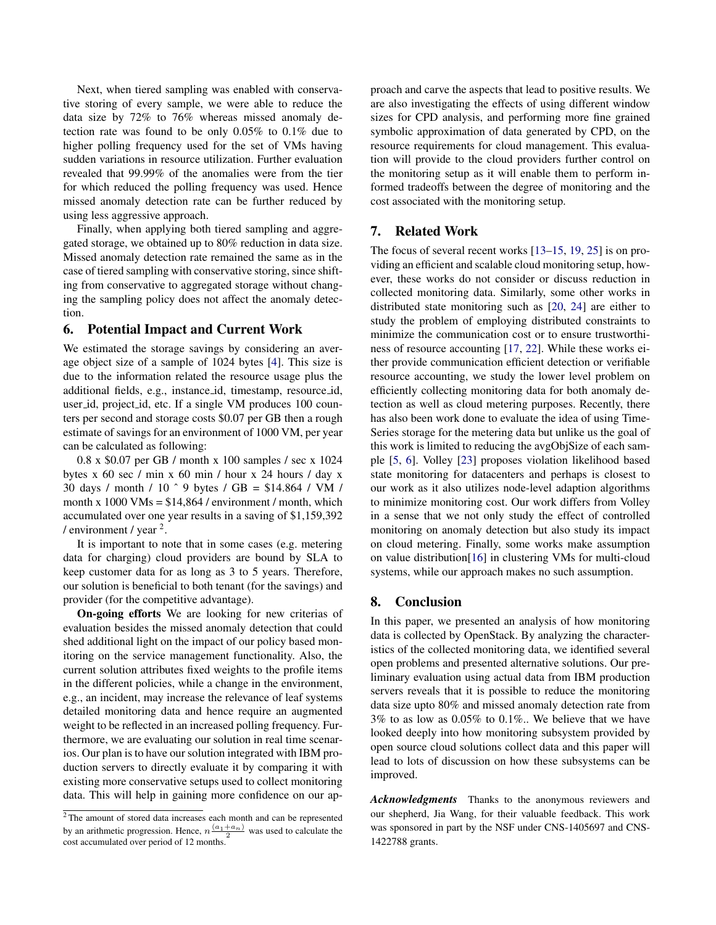Next, when tiered sampling was enabled with conservative storing of every sample, we were able to reduce the data size by 72% to 76% whereas missed anomaly detection rate was found to be only 0.05% to 0.1% due to higher polling frequency used for the set of VMs having sudden variations in resource utilization. Further evaluation revealed that 99.99% of the anomalies were from the tier for which reduced the polling frequency was used. Hence missed anomaly detection rate can be further reduced by using less aggressive approach.

Finally, when applying both tiered sampling and aggregated storage, we obtained up to 80% reduction in data size. Missed anomaly detection rate remained the same as in the case of tiered sampling with conservative storing, since shifting from conservative to aggregated storage without changing the sampling policy does not affect the anomaly detection.

### 6. Potential Impact and Current Work

We estimated the storage savings by considering an average object size of a sample of 1024 bytes [\[4](#page-6-13)]. This size is due to the information related the resource usage plus the additional fields, e.g., instance id, timestamp, resource id, user id, project id, etc. If a single VM produces 100 counters per second and storage costs \$0.07 per GB then a rough estimate of savings for an environment of 1000 VM, per year can be calculated as following:

0.8 x \$0.07 per GB / month x 100 samples / sec x 1024 bytes x 60 sec / min x 60 min / hour x 24 hours / day x 30 days / month / 10 ˆ 9 bytes / GB = \$14.864 / VM / month x  $1000 \text{ VMs} = $14,864$  / environment / month, which accumulated over one year results in a saving of \$1,159,392 / environment / year  $2$ .

It is important to note that in some cases (e.g. metering data for charging) cloud providers are bound by SLA to keep customer data for as long as 3 to 5 years. Therefore, our solution is beneficial to both tenant (for the savings) and provider (for the competitive advantage).

On-going efforts We are looking for new criterias of evaluation besides the missed anomaly detection that could shed additional light on the impact of our policy based monitoring on the service management functionality. Also, the current solution attributes fixed weights to the profile items in the different policies, while a change in the environment, e.g., an incident, may increase the relevance of leaf systems detailed monitoring data and hence require an augmented weight to be reflected in an increased polling frequency. Furthermore, we are evaluating our solution in real time scenarios. Our plan is to have our solution integrated with IBM production servers to directly evaluate it by comparing it with existing more conservative setups used to collect monitoring data. This will help in gaining more confidence on our approach and carve the aspects that lead to positive results. We are also investigating the effects of using different window sizes for CPD analysis, and performing more fine grained symbolic approximation of data generated by CPD, on the resource requirements for cloud management. This evaluation will provide to the cloud providers further control on the monitoring setup as it will enable them to perform informed tradeoffs between the degree of monitoring and the cost associated with the monitoring setup.

#### 7. Related Work

The focus of several recent works [\[13](#page-6-14)[–15](#page-6-15), [19](#page-6-16), [25](#page-6-17)] is on providing an efficient and scalable cloud monitoring setup, however, these works do not consider or discuss reduction in collected monitoring data. Similarly, some other works in distributed state monitoring such as [\[20,](#page-6-18) [24](#page-6-19)] are either to study the problem of employing distributed constraints to minimize the communication cost or to ensure trustworthiness of resource accounting [\[17](#page-6-20), [22\]](#page-6-21). While these works either provide communication efficient detection or verifiable resource accounting, we study the lower level problem on efficiently collecting monitoring data for both anomaly detection as well as cloud metering purposes. Recently, there has also been work done to evaluate the idea of using Time-Series storage for the metering data but unlike us the goal of this work is limited to reducing the avgObjSize of each sample [\[5](#page-6-22), [6](#page-6-23)]. Volley [\[23](#page-6-24)] proposes violation likelihood based state monitoring for datacenters and perhaps is closest to our work as it also utilizes node-level adaption algorithms to minimize monitoring cost. Our work differs from Volley in a sense that we not only study the effect of controlled monitoring on anomaly detection but also study its impact on cloud metering. Finally, some works make assumption on value distribution[\[16](#page-6-25)] in clustering VMs for multi-cloud systems, while our approach makes no such assumption.

#### 8. Conclusion

In this paper, we presented an analysis of how monitoring data is collected by OpenStack. By analyzing the characteristics of the collected monitoring data, we identified several open problems and presented alternative solutions. Our preliminary evaluation using actual data from IBM production servers reveals that it is possible to reduce the monitoring data size upto 80% and missed anomaly detection rate from 3% to as low as 0.05% to 0.1%.. We believe that we have looked deeply into how monitoring subsystem provided by open source cloud solutions collect data and this paper will lead to lots of discussion on how these subsystems can be improved.

*Acknowledgments* Thanks to the anonymous reviewers and our shepherd, Jia Wang, for their valuable feedback. This work was sponsored in part by the NSF under CNS-1405697 and CNS-1422788 grants.

<sup>&</sup>lt;sup>2</sup>The amount of stored data increases each month and can be represented by an arithmetic progression. Hence,  $n \frac{(a_1 + a_n)}{2}$  was used to calculate the cost accumulated over period of 12 months.